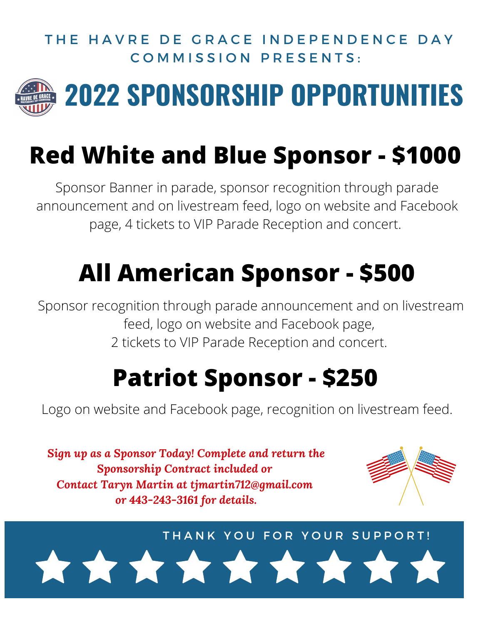#### THE HAVRE DE GRACE INDEPENDENCE DAY COMMISSION PRESENTS.



## **2022 SPONSORSHIP OPPORTUNITIES**

### **Red White and Blue Sponsor - \$1000**

Sponsor Banner in parade, sponsor recognition through parade announcement and on livestream feed, logo on website and Facebook page, 4 tickets to VIP Parade Reception and concert.

## **All American Sponsor - \$500**

Sponsor recognition through parade announcement and on livestream feed, logo on website and Facebook page, 2 tickets to VIP Parade Reception and concert.

### **Patriot Sponsor - \$250**

Logo on website and Facebook page, recognition on livestream feed.

*Sign up as a Sponsor Today! Complete and return the Sponsorship Contract included or Contact Taryn Martin at tjmartin712@gmail.com or 443-243-3161 for details.*



THANK YOU FOR YOUR SUPPORT!